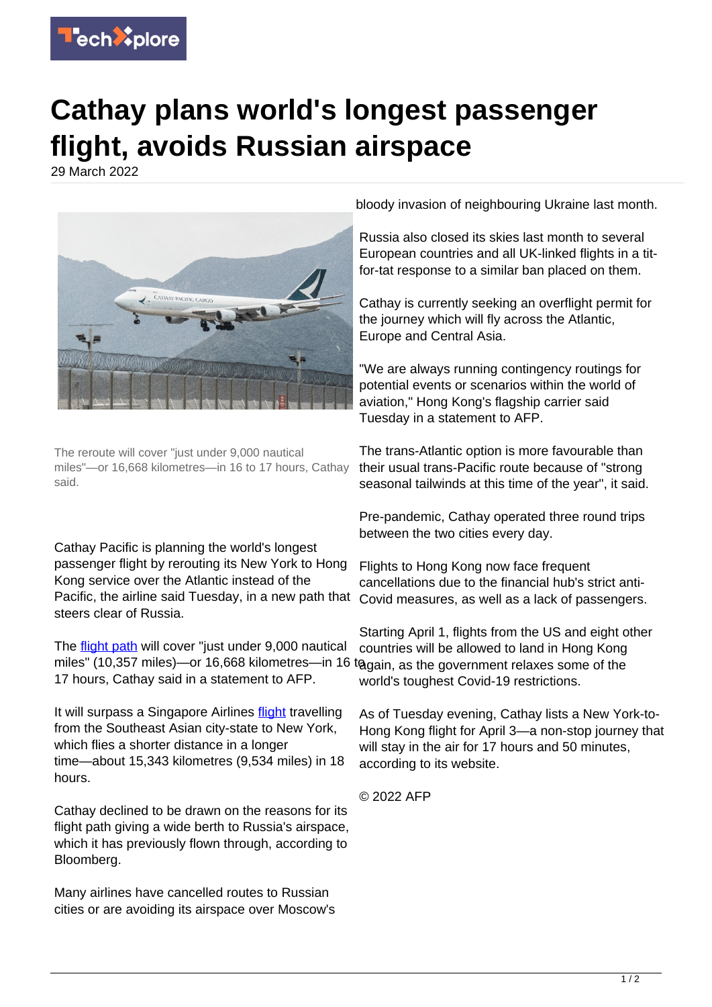

## **Cathay plans world's longest passenger flight, avoids Russian airspace**

29 March 2022



The reroute will cover "just under 9,000 nautical miles"—or 16,668 kilometres—in 16 to 17 hours, Cathay said.

Cathay Pacific is planning the world's longest passenger flight by rerouting its New York to Hong Kong service over the Atlantic instead of the Pacific, the airline said Tuesday, in a new path that steers clear of Russia.

The **flight path** will cover "just under 9,000 nautical miles" (10,357 miles)—or 16,668 kilometres—in 16 togain, as the government relaxes some of the 17 hours, Cathay said in a statement to AFP.

It will surpass a Singapore Airlines [flight](https://techxplore.com/tags/flight/) travelling from the Southeast Asian city-state to New York, which flies a shorter distance in a longer time—about 15,343 kilometres (9,534 miles) in 18 hours.

Cathay declined to be drawn on the reasons for its flight path giving a wide berth to Russia's airspace, which it has previously flown through, according to Bloomberg.

Many airlines have cancelled routes to Russian cities or are avoiding its airspace over Moscow's bloody invasion of neighbouring Ukraine last month.

Russia also closed its skies last month to several European countries and all UK-linked flights in a titfor-tat response to a similar ban placed on them.

Cathay is currently seeking an overflight permit for the journey which will fly across the Atlantic, Europe and Central Asia.

"We are always running contingency routings for potential events or scenarios within the world of aviation," Hong Kong's flagship carrier said Tuesday in a statement to AFP.

The trans-Atlantic option is more favourable than their usual trans-Pacific route because of "strong seasonal tailwinds at this time of the year", it said.

Pre-pandemic, Cathay operated three round trips between the two cities every day.

Flights to Hong Kong now face frequent cancellations due to the financial hub's strict anti-Covid measures, as well as a lack of passengers.

Starting April 1, flights from the US and eight other countries will be allowed to land in Hong Kong world's toughest Covid-19 restrictions.

As of Tuesday evening, Cathay lists a New York-to-Hong Kong flight for April 3—a non-stop journey that will stay in the air for 17 hours and 50 minutes, according to its website.

© 2022 AFP